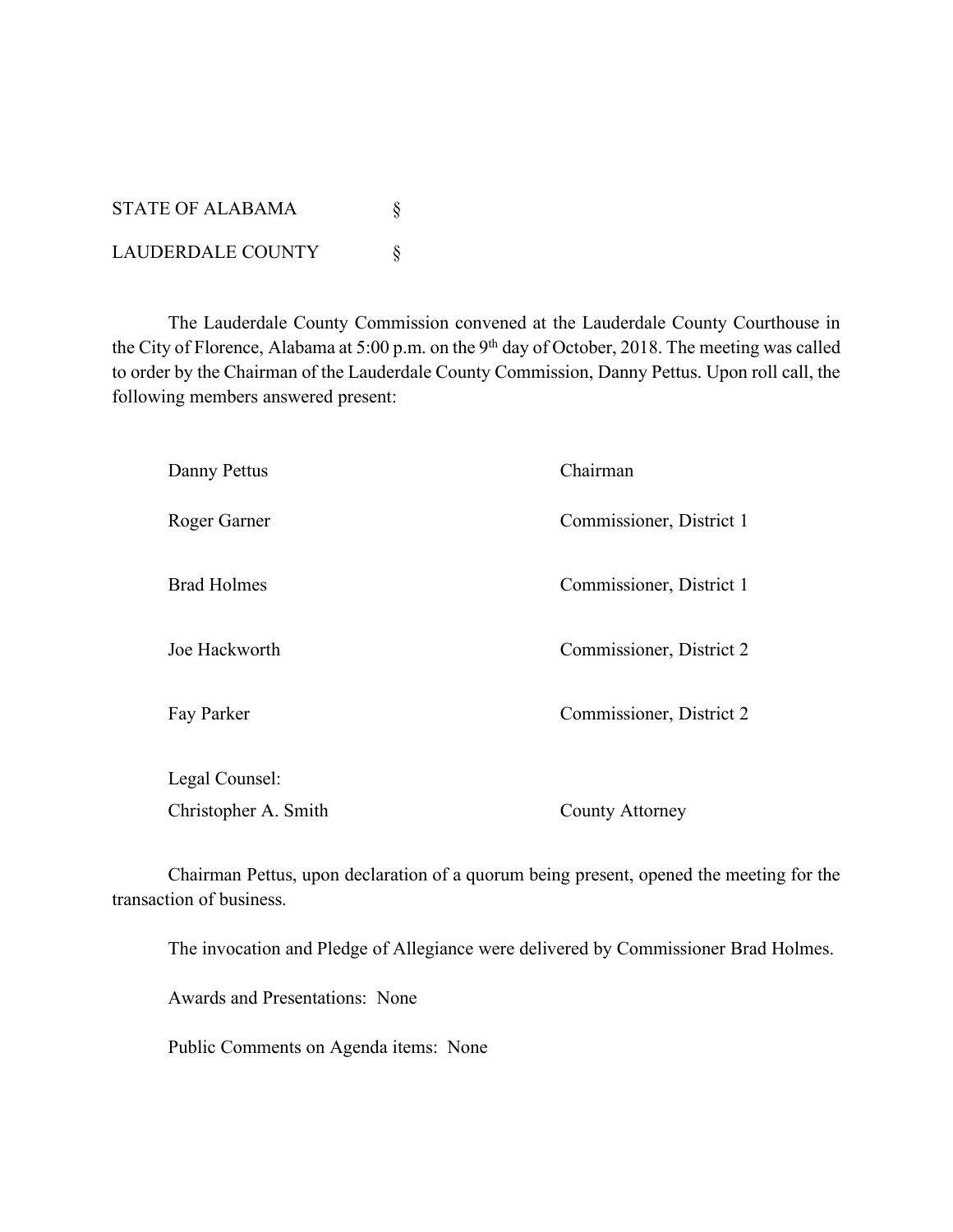STATE OF ALABAMA  $\S$ LAUDERDALE COUNTY  $\S$ 

The Lauderdale County Commission convened at the Lauderdale County Courthouse in the City of Florence, Alabama at 5:00 p.m. on the 9<sup>th</sup> day of October, 2018. The meeting was called to order by the Chairman of the Lauderdale County Commission, Danny Pettus. Upon roll call, the following members answered present:

| Danny Pettus         | Chairman                 |
|----------------------|--------------------------|
| Roger Garner         | Commissioner, District 1 |
| <b>Brad Holmes</b>   | Commissioner, District 1 |
| Joe Hackworth        | Commissioner, District 2 |
| Fay Parker           | Commissioner, District 2 |
| Legal Counsel:       |                          |
| Christopher A. Smith | County Attorney          |

Chairman Pettus, upon declaration of a quorum being present, opened the meeting for the transaction of business.

The invocation and Pledge of Allegiance were delivered by Commissioner Brad Holmes.

Awards and Presentations: None

Public Comments on Agenda items: None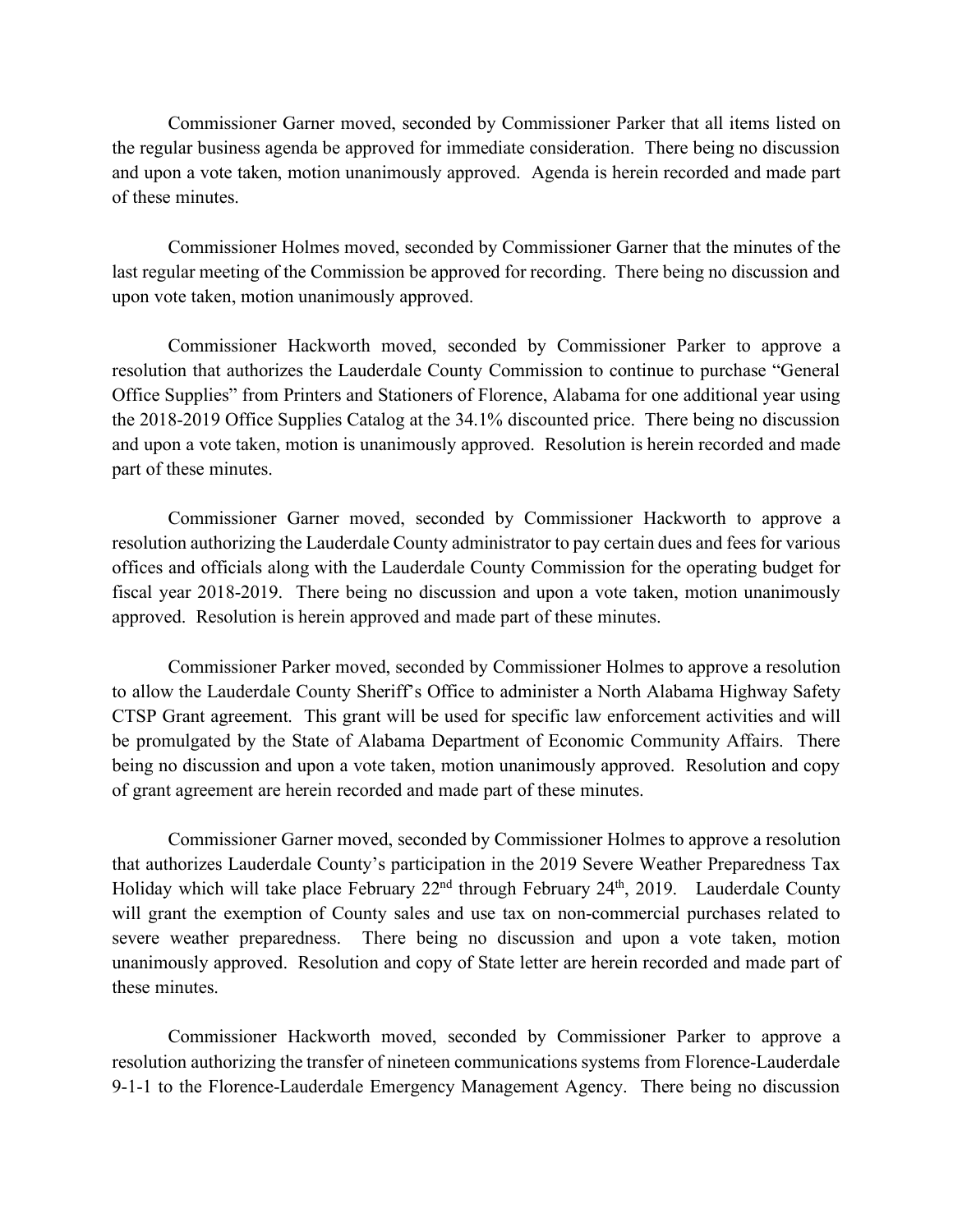Commissioner Garner moved, seconded by Commissioner Parker that all items listed on the regular business agenda be approved for immediate consideration. There being no discussion and upon a vote taken, motion unanimously approved. Agenda is herein recorded and made part of these minutes.

Commissioner Holmes moved, seconded by Commissioner Garner that the minutes of the last regular meeting of the Commission be approved for recording. There being no discussion and upon vote taken, motion unanimously approved.

Commissioner Hackworth moved, seconded by Commissioner Parker to approve a resolution that authorizes the Lauderdale County Commission to continue to purchase "General Office Supplies" from Printers and Stationers of Florence, Alabama for one additional year using the 2018-2019 Office Supplies Catalog at the 34.1% discounted price. There being no discussion and upon a vote taken, motion is unanimously approved. Resolution is herein recorded and made part of these minutes.

Commissioner Garner moved, seconded by Commissioner Hackworth to approve a resolution authorizing the Lauderdale County administrator to pay certain dues and fees for various offices and officials along with the Lauderdale County Commission for the operating budget for fiscal year 2018-2019. There being no discussion and upon a vote taken, motion unanimously approved. Resolution is herein approved and made part of these minutes.

Commissioner Parker moved, seconded by Commissioner Holmes to approve a resolution to allow the Lauderdale County Sheriff's Office to administer a North Alabama Highway Safety CTSP Grant agreement. This grant will be used for specific law enforcement activities and will be promulgated by the State of Alabama Department of Economic Community Affairs. There being no discussion and upon a vote taken, motion unanimously approved. Resolution and copy of grant agreement are herein recorded and made part of these minutes.

Commissioner Garner moved, seconded by Commissioner Holmes to approve a resolution that authorizes Lauderdale County's participation in the 2019 Severe Weather Preparedness Tax Holiday which will take place February 22<sup>nd</sup> through February 24<sup>th</sup>, 2019. Lauderdale County will grant the exemption of County sales and use tax on non-commercial purchases related to severe weather preparedness. There being no discussion and upon a vote taken, motion unanimously approved. Resolution and copy of State letter are herein recorded and made part of these minutes.

Commissioner Hackworth moved, seconded by Commissioner Parker to approve a resolution authorizing the transfer of nineteen communications systems from Florence-Lauderdale 9-1-1 to the Florence-Lauderdale Emergency Management Agency. There being no discussion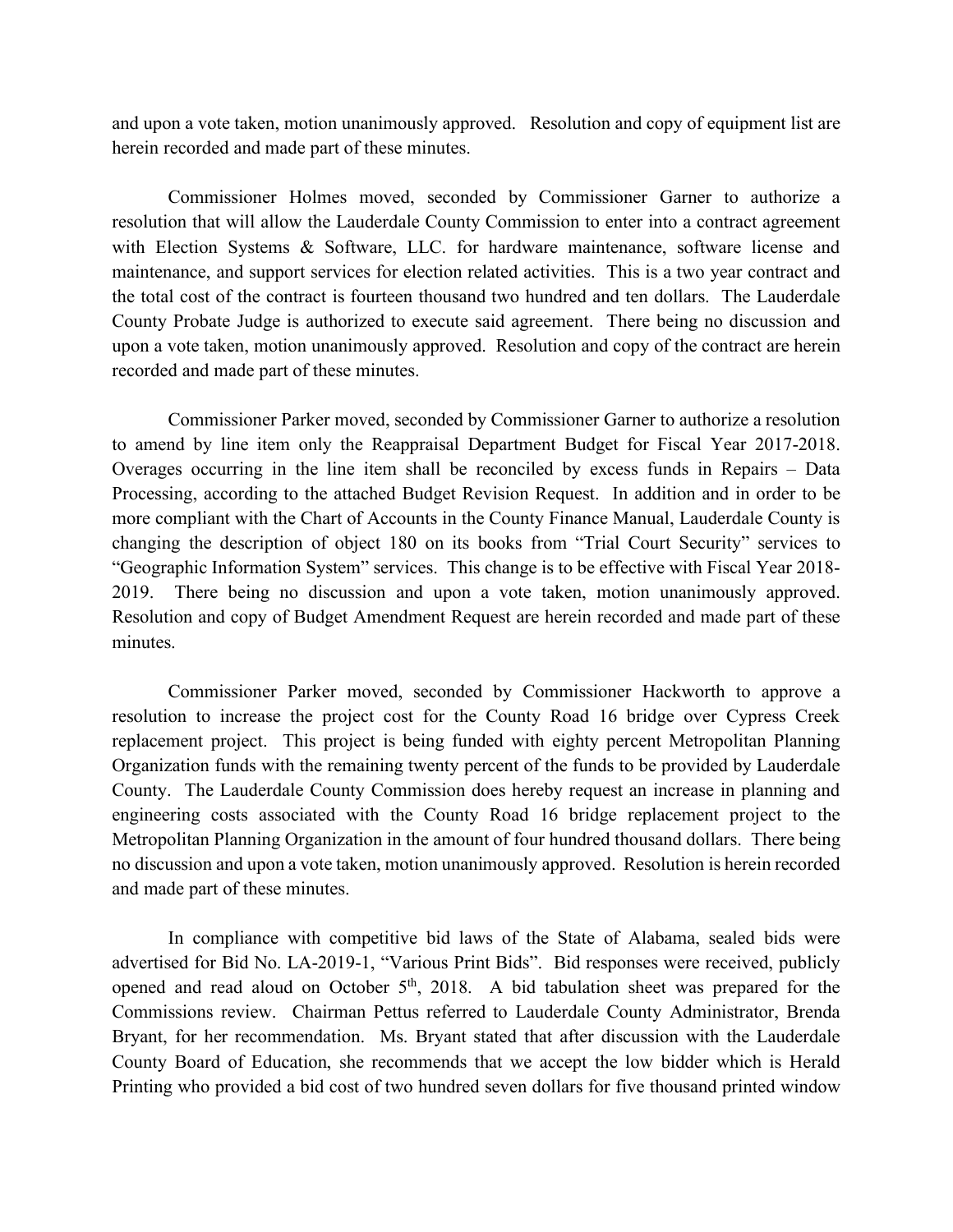and upon a vote taken, motion unanimously approved. Resolution and copy of equipment list are herein recorded and made part of these minutes.

Commissioner Holmes moved, seconded by Commissioner Garner to authorize a resolution that will allow the Lauderdale County Commission to enter into a contract agreement with Election Systems & Software, LLC. for hardware maintenance, software license and maintenance, and support services for election related activities. This is a two year contract and the total cost of the contract is fourteen thousand two hundred and ten dollars. The Lauderdale County Probate Judge is authorized to execute said agreement. There being no discussion and upon a vote taken, motion unanimously approved. Resolution and copy of the contract are herein recorded and made part of these minutes.

Commissioner Parker moved, seconded by Commissioner Garner to authorize a resolution to amend by line item only the Reappraisal Department Budget for Fiscal Year 2017-2018. Overages occurring in the line item shall be reconciled by excess funds in Repairs – Data Processing, according to the attached Budget Revision Request. In addition and in order to be more compliant with the Chart of Accounts in the County Finance Manual, Lauderdale County is changing the description of object 180 on its books from "Trial Court Security" services to "Geographic Information System" services. This change is to be effective with Fiscal Year 2018- 2019. There being no discussion and upon a vote taken, motion unanimously approved. Resolution and copy of Budget Amendment Request are herein recorded and made part of these minutes.

Commissioner Parker moved, seconded by Commissioner Hackworth to approve a resolution to increase the project cost for the County Road 16 bridge over Cypress Creek replacement project. This project is being funded with eighty percent Metropolitan Planning Organization funds with the remaining twenty percent of the funds to be provided by Lauderdale County. The Lauderdale County Commission does hereby request an increase in planning and engineering costs associated with the County Road 16 bridge replacement project to the Metropolitan Planning Organization in the amount of four hundred thousand dollars. There being no discussion and upon a vote taken, motion unanimously approved. Resolution is herein recorded and made part of these minutes.

In compliance with competitive bid laws of the State of Alabama, sealed bids were advertised for Bid No. LA-2019-1, "Various Print Bids". Bid responses were received, publicly opened and read aloud on October  $5<sup>th</sup>$ , 2018. A bid tabulation sheet was prepared for the Commissions review. Chairman Pettus referred to Lauderdale County Administrator, Brenda Bryant, for her recommendation. Ms. Bryant stated that after discussion with the Lauderdale County Board of Education, she recommends that we accept the low bidder which is Herald Printing who provided a bid cost of two hundred seven dollars for five thousand printed window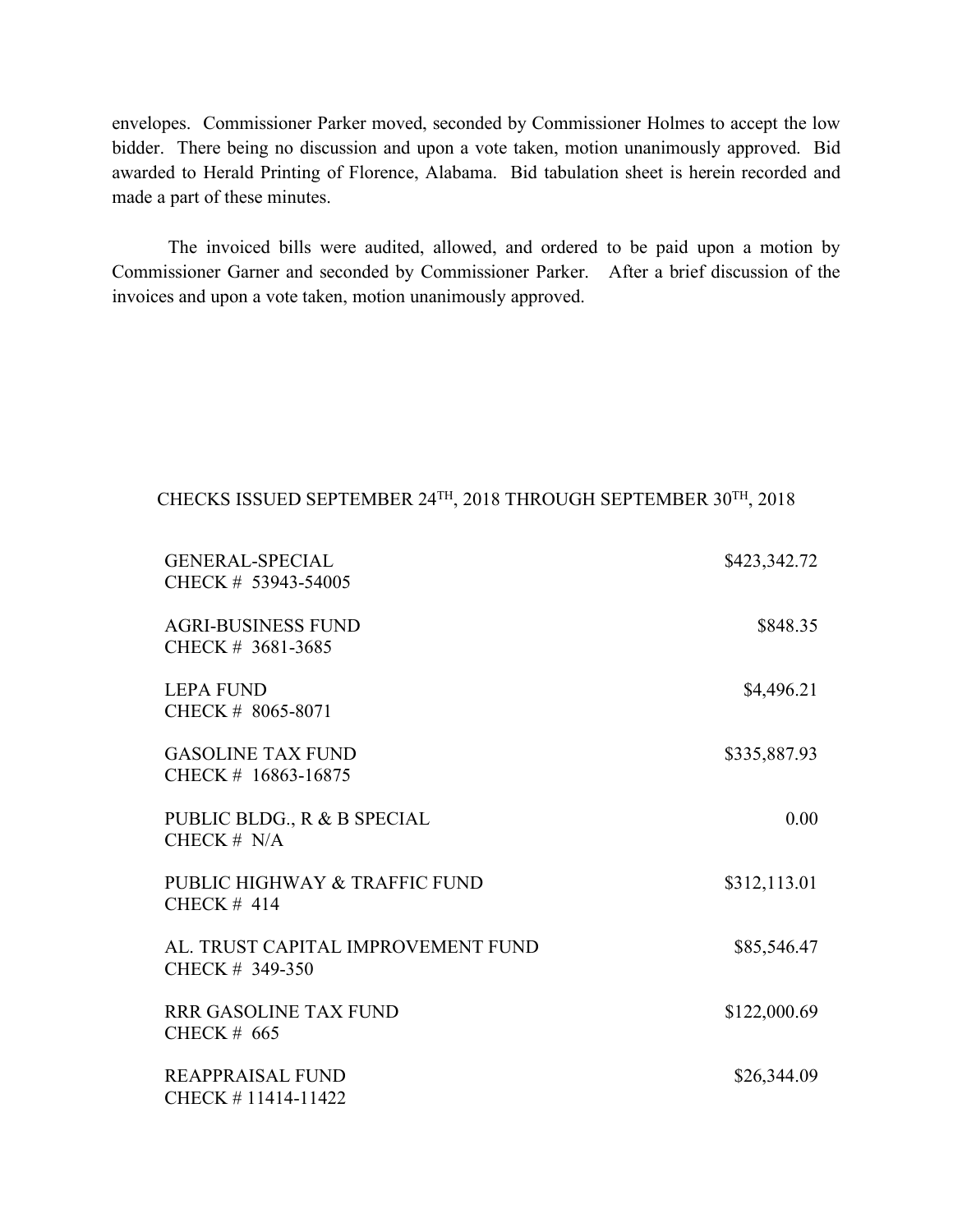envelopes. Commissioner Parker moved, seconded by Commissioner Holmes to accept the low bidder. There being no discussion and upon a vote taken, motion unanimously approved. Bid awarded to Herald Printing of Florence, Alabama. Bid tabulation sheet is herein recorded and made a part of these minutes.

The invoiced bills were audited, allowed, and ordered to be paid upon a motion by Commissioner Garner and seconded by Commissioner Parker. After a brief discussion of the invoices and upon a vote taken, motion unanimously approved.

## CHECKS ISSUED SEPTEMBER 24TH, 2018 THROUGH SEPTEMBER 30TH, 2018

| <b>GENERAL-SPECIAL</b><br>CHECK # 53943-54005         | \$423,342.72 |
|-------------------------------------------------------|--------------|
| <b>AGRI-BUSINESS FUND</b><br>CHECK # 3681-3685        | \$848.35     |
| <b>LEPA FUND</b><br>CHECK # 8065-8071                 | \$4,496.21   |
| <b>GASOLINE TAX FUND</b><br>CHECK # 16863-16875       | \$335,887.93 |
| PUBLIC BLDG., R & B SPECIAL<br>CHECK $# N/A$          | 0.00         |
| PUBLIC HIGHWAY & TRAFFIC FUND<br>CHECK $#$ 414        | \$312,113.01 |
| AL. TRUST CAPITAL IMPROVEMENT FUND<br>CHECK # 349-350 | \$85,546.47  |
| <b>RRR GASOLINE TAX FUND</b><br>CHECK $#$ 665         | \$122,000.69 |
| <b>REAPPRAISAL FUND</b><br>CHECK #11414-11422         | \$26,344.09  |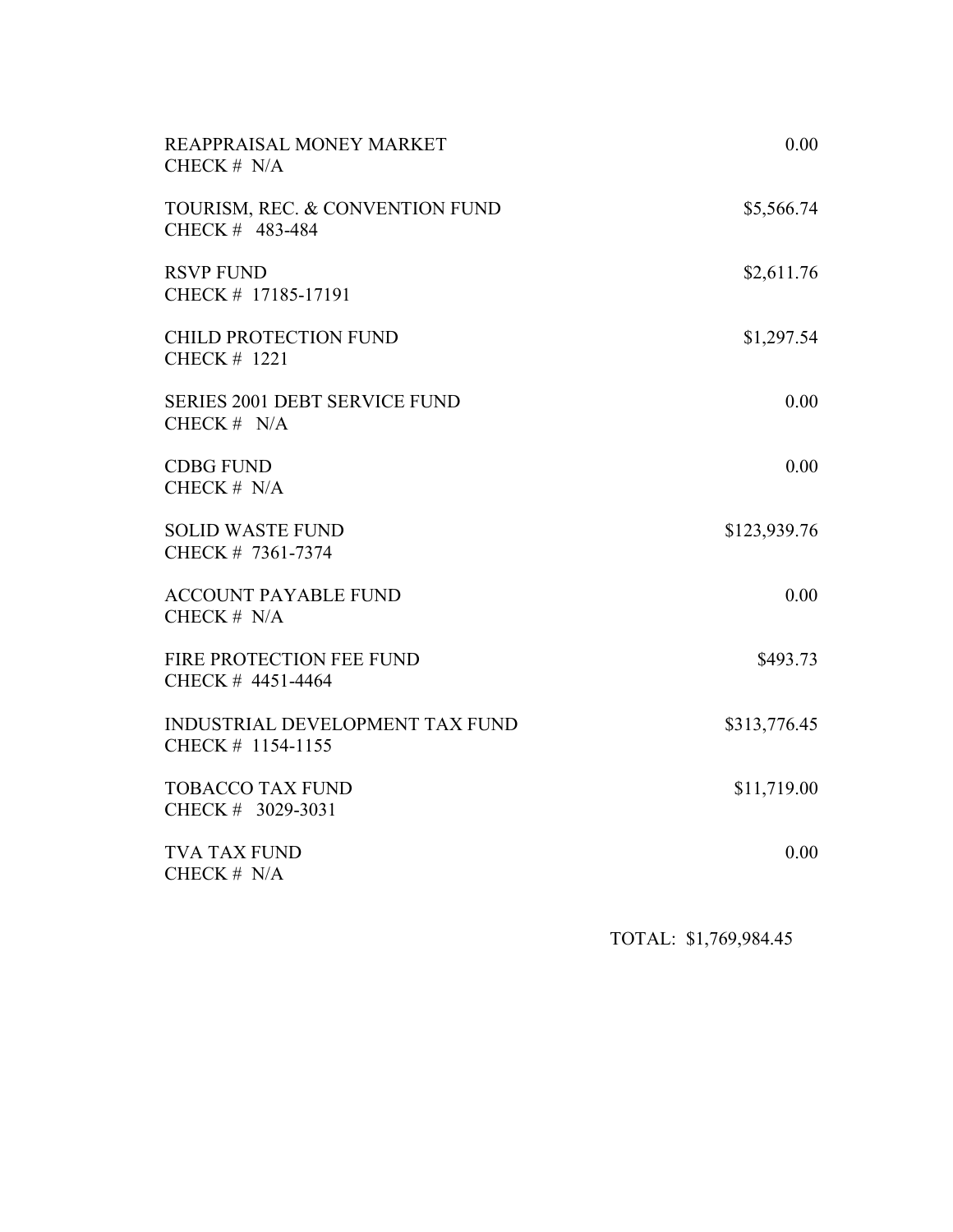| REAPPRAISAL MONEY MARKET<br>CHECK $# N/A$                   | 0.00         |
|-------------------------------------------------------------|--------------|
| TOURISM, REC. & CONVENTION FUND<br>CHECK # 483-484          | \$5,566.74   |
| <b>RSVP FUND</b><br>CHECK # 17185-17191                     | \$2,611.76   |
| <b>CHILD PROTECTION FUND</b><br>CHECK # 1221                | \$1,297.54   |
| <b>SERIES 2001 DEBT SERVICE FUND</b><br>CHECK # N/A         | 0.00         |
| <b>CDBG FUND</b><br>CHECK $# N/A$                           | 0.00         |
| <b>SOLID WASTE FUND</b><br>CHECK # 7361-7374                | \$123,939.76 |
| <b>ACCOUNT PAYABLE FUND</b><br>CHECK $# N/A$                | 0.00         |
| FIRE PROTECTION FEE FUND<br>CHECK # 4451-4464               | \$493.73     |
| <b>INDUSTRIAL DEVELOPMENT TAX FUND</b><br>CHECK # 1154-1155 | \$313,776.45 |
| <b>TOBACCO TAX FUND</b><br>CHECK # 3029-3031                | \$11,719.00  |
| <b>TVA TAX FUND</b><br>CHECK # N/A                          | 0.00         |

TOTAL: \$1,769,984.45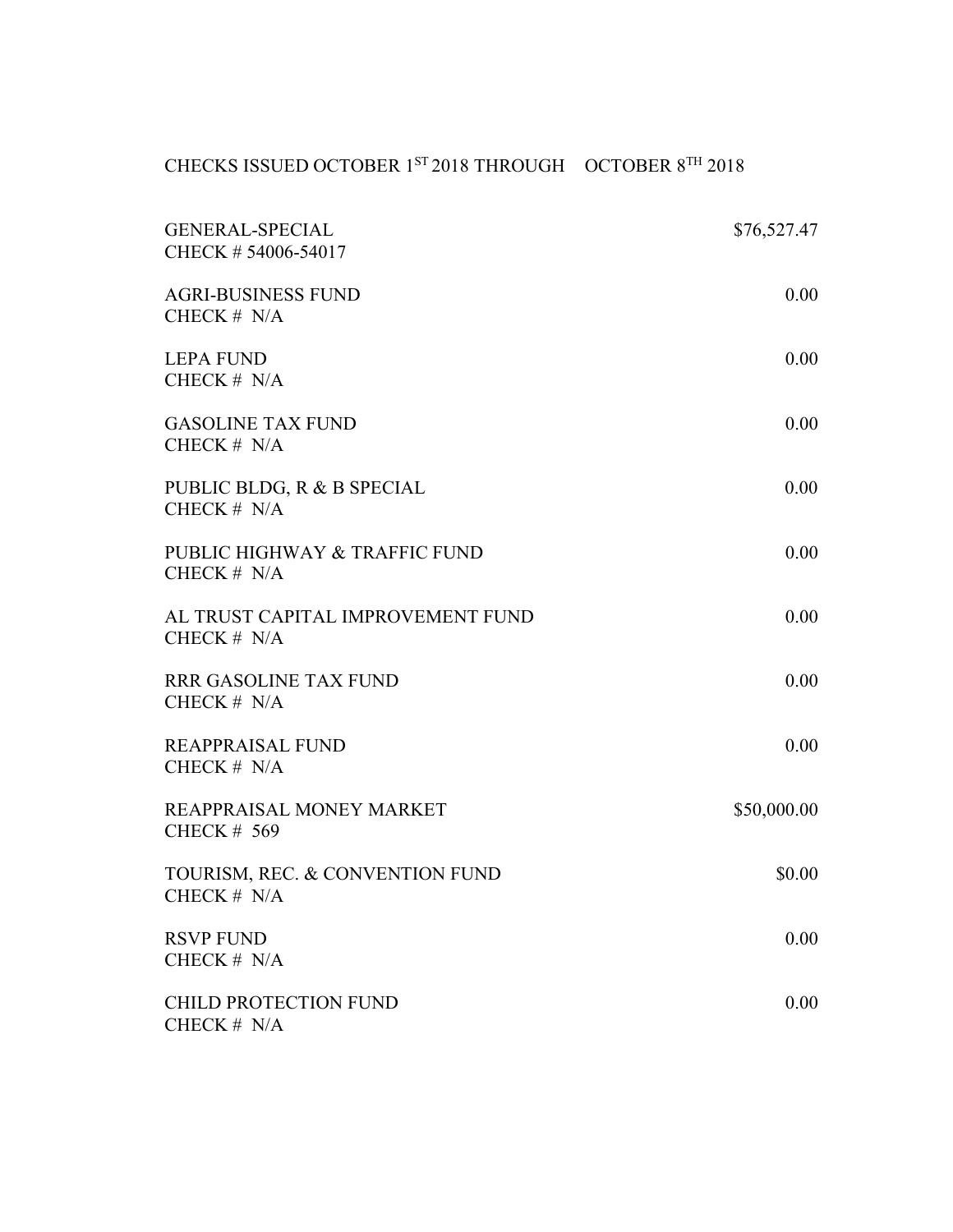## CHECKS ISSUED OCTOBER 1ST 2018 THROUGH OCTOBER 8TH 2018

| <b>GENERAL-SPECIAL</b><br>CHECK #54006-54017       | \$76,527.47 |
|----------------------------------------------------|-------------|
| <b>AGRI-BUSINESS FUND</b><br>CHECK $# N/A$         | 0.00        |
| <b>LEPA FUND</b><br>CHECK $# N/A$                  | 0.00        |
| <b>GASOLINE TAX FUND</b><br>CHECK $# N/A$          | 0.00        |
| PUBLIC BLDG, R & B SPECIAL<br>CHECK $# N/A$        | 0.00        |
| PUBLIC HIGHWAY & TRAFFIC FUND<br>CHECK $# N/A$     | 0.00        |
| AL TRUST CAPITAL IMPROVEMENT FUND<br>CHECK $# N/A$ | 0.00        |
| <b>RRR GASOLINE TAX FUND</b><br>CHECK $# N/A$      | 0.00        |
| REAPPRAISAL FUND<br>CHECK $# N/A$                  | 0.00        |
| REAPPRAISAL MONEY MARKET<br><b>CHECK # 569</b>     | \$50,000.00 |
| TOURISM, REC. & CONVENTION FUND<br>CHECK # N/A     | \$0.00      |
| <b>RSVP FUND</b><br>CHECK $# N/A$                  | 0.00        |
| CHILD PROTECTION FUND<br>CHECK # N/A               | 0.00        |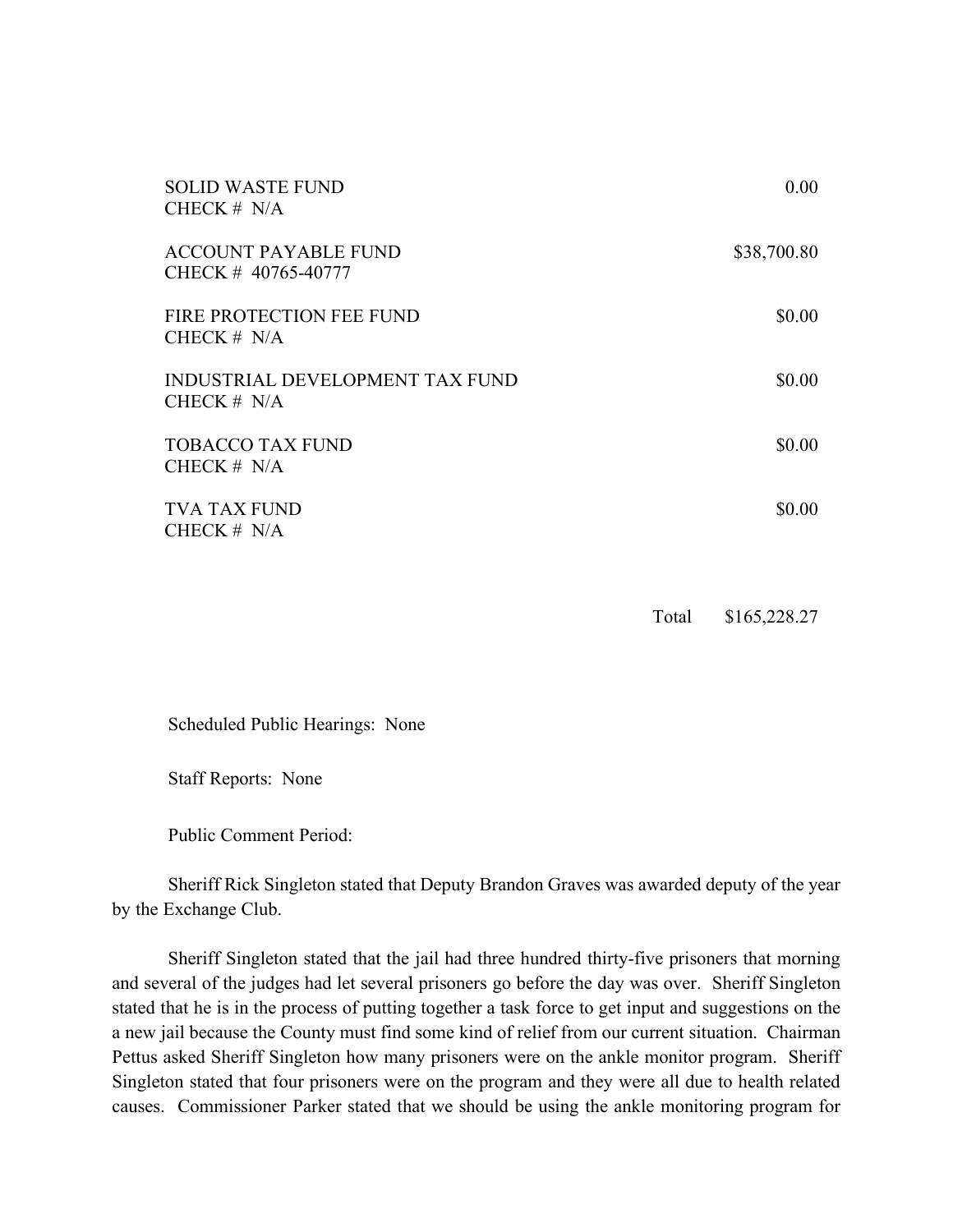| <b>SOLID WASTE FUND</b><br>CHECK $# N/A$          | 0.00        |
|---------------------------------------------------|-------------|
| <b>ACCOUNT PAYABLE FUND</b><br>CHECK #40765-40777 | \$38,700.80 |
| FIRE PROTECTION FEE FUND<br>CHECK $# N/A$         | \$0.00      |
| INDUSTRIAL DEVELOPMENT TAX FUND<br>CHECK $# N/A$  | \$0.00      |
| <b>TOBACCO TAX FUND</b><br>CHECK $# N/A$          | \$0.00      |
| <b>TVA TAX FUND</b><br>CHECK $# N/A$              | \$0.00      |
|                                                   |             |

Total \$165,228.27

Scheduled Public Hearings: None

Staff Reports: None

Public Comment Period:

Sheriff Rick Singleton stated that Deputy Brandon Graves was awarded deputy of the year by the Exchange Club.

Sheriff Singleton stated that the jail had three hundred thirty-five prisoners that morning and several of the judges had let several prisoners go before the day was over. Sheriff Singleton stated that he is in the process of putting together a task force to get input and suggestions on the a new jail because the County must find some kind of relief from our current situation. Chairman Pettus asked Sheriff Singleton how many prisoners were on the ankle monitor program. Sheriff Singleton stated that four prisoners were on the program and they were all due to health related causes. Commissioner Parker stated that we should be using the ankle monitoring program for